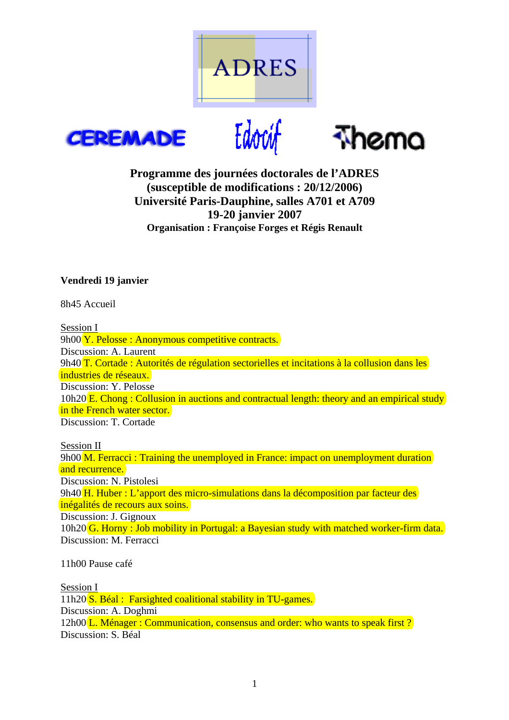







# **Programme des journées doctorales de l'ADRES (susceptible de modifications : 20/12/2006) Université Paris-Dauphine, salles A701 et A709 19-20 janvier 2007 Organisation : Françoise Forges et Régis Renault**

# **Vendredi 19 janvier**

8h45 Accueil

Session I 9h00 Y. Pelosse : Anonymous competitive contracts. Discussion: A. Laurent 9h40 T. Cortade : Autorités de régulation sectorielles et incitations à la collusion dans les industries de réseaux. Discussion: Y. Pelosse 10h20 E. Chong : Collusion in auctions and contractual length: theory and an empirical study in the French water sector. Discussion: T. Cortade

Session II 9h00 M. Ferracci : Training the unemployed in France: impact on unemployment duration and recurrence. Discussion: N. Pistolesi 9h40 H. Huber : L'apport des micro-simulations dans la décomposition par facteur des inégalités de recours aux soins. Discussion: J. Gignoux 10h20 G. Horny : Job mobility in Portugal: a Bayesian study with matched worker-firm data. Discussion: M. Ferracci

11h00 Pause café

Session I 11h20 S. Béal : Farsighted coalitional stability in TU-games. Discussion: A. Doghmi 12h00 L. Ménager : Communication, consensus and order: who wants to speak first? Discussion: S. Béal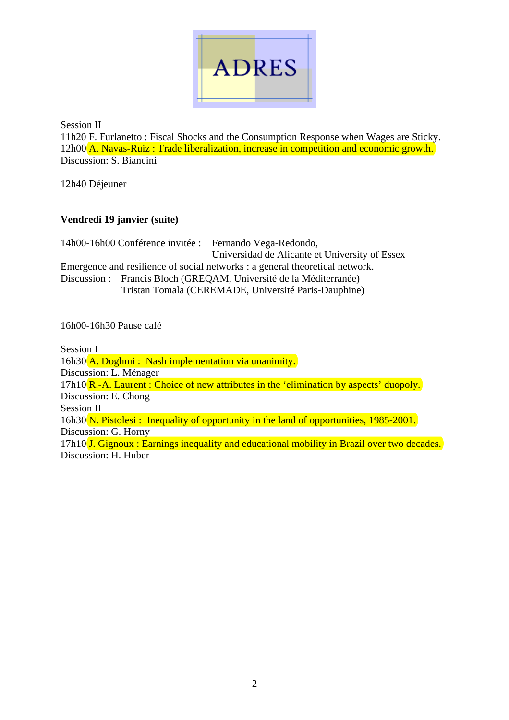

Session II

11h20 F. Furlanetto : Fiscal Shocks and the Consumption Response when Wages are Sticky. 12h00 A. Navas-Ruiz : Trade liberalization, increase in competition and economic growth. Discussion: S. Biancini

12h40 Déjeuner

# **Vendredi 19 janvier (suite)**

14h00-16h00 Conférence invitée : Fernando Vega-Redondo, Universidad de Alicante et University of Essex Emergence and resilience of social networks : a general theoretical network. Discussion : Francis Bloch (GREQAM, Université de la Méditerranée) Tristan Tomala (CEREMADE, Université Paris-Dauphine)

16h00-16h30 Pause café

Session I 16h30 A. Doghmi : Nash implementation via unanimity. Discussion: L. Ménager 17h10 R.-A. Laurent : Choice of new attributes in the 'elimination by aspects' duopoly. Discussion: E. Chong Session II 16h30 N. Pistolesi : Inequality of opportunity in the land of opportunities, 1985-2001. Discussion: G. Horny 17h10 **J.** Gignoux : Earnings inequality and educational mobility in Brazil over two decades. Discussion: H. Huber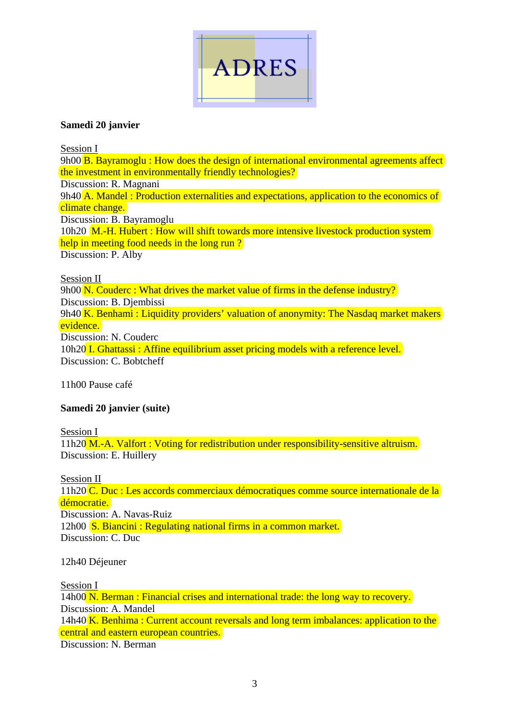

### **Samedi 20 janvier**

Session I 9h00 B. Bayramoglu : How does the design of international environmental agreements affect the investment in environmentally friendly technologies? Discussion: R. Magnani 9h40 A. Mandel: Production externalities and expectations, application to the economics of climate change. Discussion: B. Bayramoglu 10h20 M.-H. Hubert : How will shift towards more intensive livestock production system help in meeting food needs in the long run? Discussion: P. Alby

#### Session II

9h00 N. Couderc : What drives the market value of firms in the defense industry? Discussion: B. Djembissi 9h40 K. Benhami : Liquidity providers' valuation of anonymity: The Nasdaq market makers evidence. Discussion: N. Couderc 10h20 I. Ghattassi : Affine equilibrium asset pricing models with a reference level. Discussion: C. Bobtcheff

11h00 Pause café

### **Samedi 20 janvier (suite)**

Session I

11h20 M.-A. Valfort : Voting for redistribution under responsibility-sensitive altruism. Discussion: E. Huillery

Session II

11h20 C. Duc : Les accords commerciaux démocratiques comme source internationale de la démocratie. Discussion: A. Navas-Ruiz 12h00 S. Biancini : Regulating national firms in a common market. Discussion: C. Duc

12h40 Déjeuner

Session I

14h00 N. Berman : Financial crises and international trade: the long way to recovery. Discussion: A. Mandel 14h40 K. Benhima : Current account reversals and long term imbalances: application to the central and eastern european countries. Discussion: N. Berman